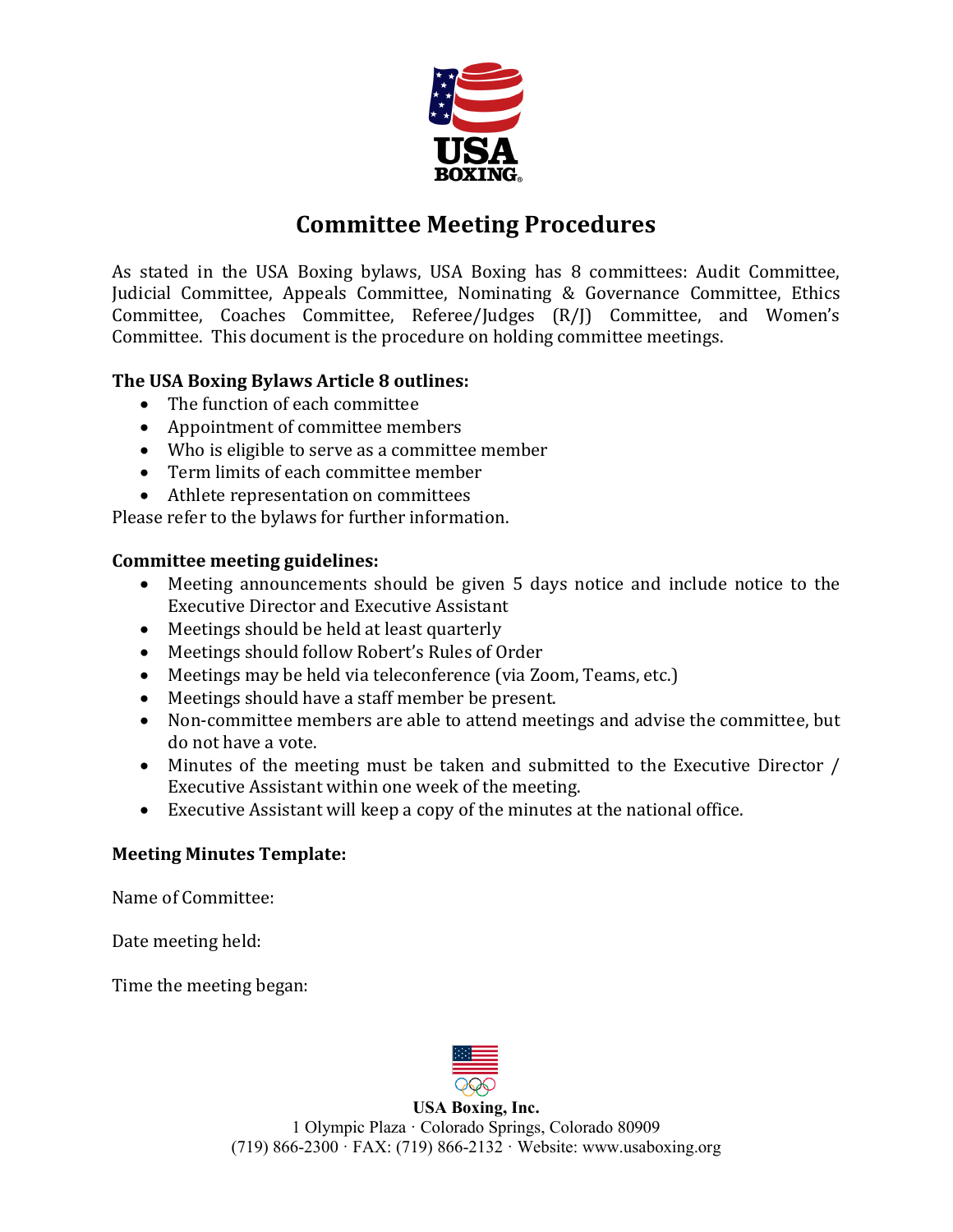

## **Committee Meeting Procedures**

As stated in the USA Boxing bylaws, USA Boxing has 8 committees: Audit Committee, Judicial Committee, Appeals Committee, Nominating & Governance Committee, Ethics Committee, Coaches Committee, Referee/Judges (R/J) Committee, and Women's Committee. This document is the procedure on holding committee meetings.

## **The USA Boxing Bylaws Article 8 outlines:**

- The function of each committee
- Appointment of committee members
- Who is eligible to serve as a committee member
- Term limits of each committee member
- Athlete representation on committees

Please refer to the bylaws for further information.

## **Committee meeting guidelines:**

- Meeting announcements should be given 5 days notice and include notice to the Executive Director and Executive Assistant
- Meetings should be held at least quarterly
- Meetings should follow Robert's Rules of Order
- Meetings may be held via teleconference (via Zoom, Teams, etc.)
- Meetings should have a staff member be present.
- Non-committee members are able to attend meetings and advise the committee, but do not have a vote.
- Minutes of the meeting must be taken and submitted to the Executive Director / Executive Assistant within one week of the meeting.
- Executive Assistant will keep a copy of the minutes at the national office.

## **Meeting Minutes Template:**

Name of Committee:

Date meeting held:

Time the meeting began:



**USA Boxing, Inc.** 1 Olympic Plaza · Colorado Springs, Colorado 80909 (719) 866-2300 · FAX: (719) 866-2132 · Website: www.usaboxing.org